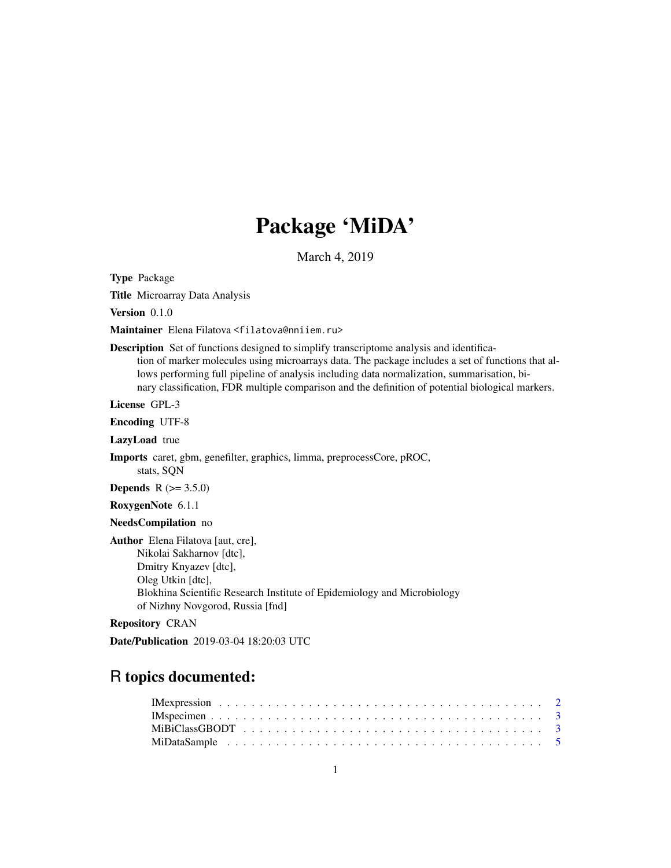# Package 'MiDA'

March 4, 2019

<span id="page-0-0"></span>Type Package

Title Microarray Data Analysis

Version 0.1.0

Maintainer Elena Filatova <filatova@nniiem.ru>

Description Set of functions designed to simplify transcriptome analysis and identification of marker molecules using microarrays data. The package includes a set of functions that allows performing full pipeline of analysis including data normalization, summarisation, binary classification, FDR multiple comparison and the definition of potential biological markers.

License GPL-3

Encoding UTF-8

LazyLoad true

Imports caret, gbm, genefilter, graphics, limma, preprocessCore, pROC, stats, SQN

**Depends** R  $(>= 3.5.0)$ 

RoxygenNote 6.1.1

NeedsCompilation no

Author Elena Filatova [aut, cre], Nikolai Sakharnov [dtc],

Dmitry Knyazev [dtc], Oleg Utkin [dtc], Blokhina Scientific Research Institute of Epidemiology and Microbiology of Nizhny Novgorod, Russia [fnd]

Repository CRAN

Date/Publication 2019-03-04 18:20:03 UTC

# R topics documented: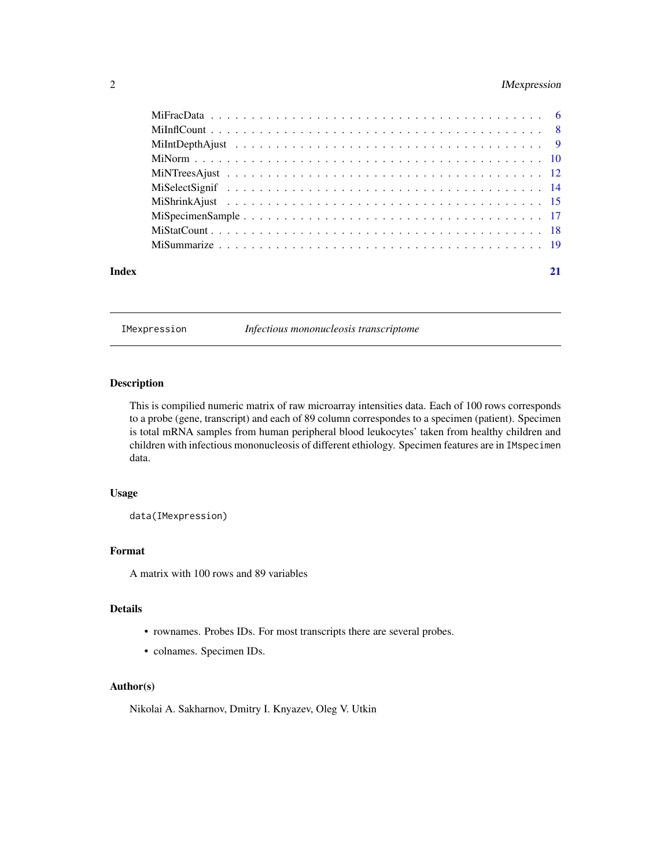# <span id="page-1-0"></span>2 IMexpression

| Index |  |
|-------|--|

IMexpression *Infectious mononucleosis transcriptome*

# Description

This is compilied numeric matrix of raw microarray intensities data. Each of 100 rows corresponds to a probe (gene, transcript) and each of 89 column correspondes to a specimen (patient). Specimen is total mRNA samples from human peripheral blood leukocytes' taken from healthy children and children with infectious mononucleosis of different ethiology. Specimen features are in IMspecimen data.

# Usage

data(IMexpression)

# Format

A matrix with 100 rows and 89 variables

# Details

- rownames. Probes IDs. For most transcripts there are several probes.
- colnames. Specimen IDs.

# Author(s)

Nikolai A. Sakharnov, Dmitry I. Knyazev, Oleg V. Utkin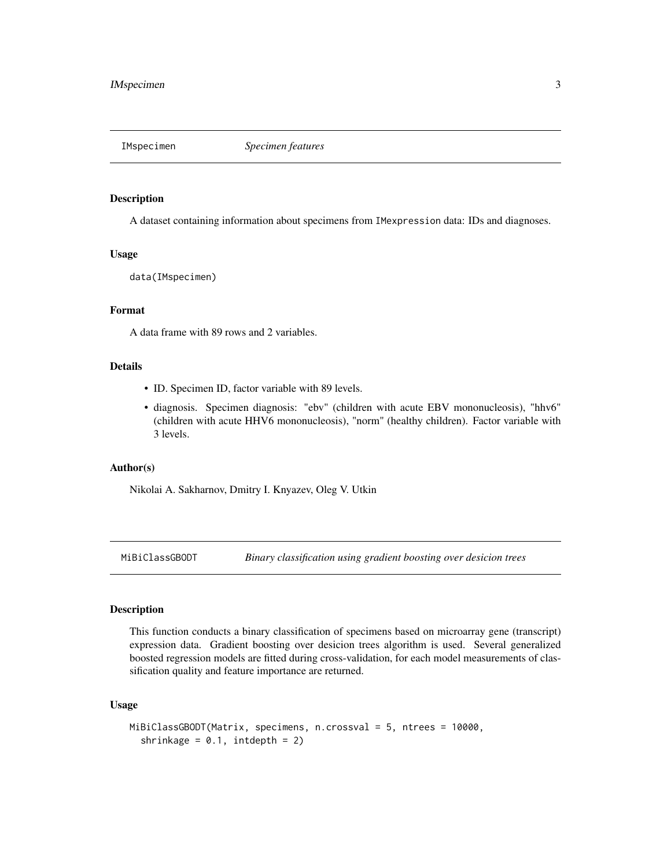<span id="page-2-0"></span>

# Description

A dataset containing information about specimens from IMexpression data: IDs and diagnoses.

#### Usage

data(IMspecimen)

# Format

A data frame with 89 rows and 2 variables.

# Details

- ID. Specimen ID, factor variable with 89 levels.
- diagnosis. Specimen diagnosis: "ebv" (children with acute EBV mononucleosis), "hhv6" (children with acute HHV6 mononucleosis), "norm" (healthy children). Factor variable with 3 levels.

#### Author(s)

Nikolai A. Sakharnov, Dmitry I. Knyazev, Oleg V. Utkin

<span id="page-2-1"></span>MiBiClassGBODT *Binary classification using gradient boosting over desicion trees*

# Description

This function conducts a binary classification of specimens based on microarray gene (transcript) expression data. Gradient boosting over desicion trees algorithm is used. Several generalized boosted regression models are fitted during cross-validation, for each model measurements of classification quality and feature importance are returned.

# Usage

```
MiBiClassGBODT(Matrix, specimens, n.crossval = 5, ntrees = 10000,
  shrinkage = 0.1, intdepth = 2)
```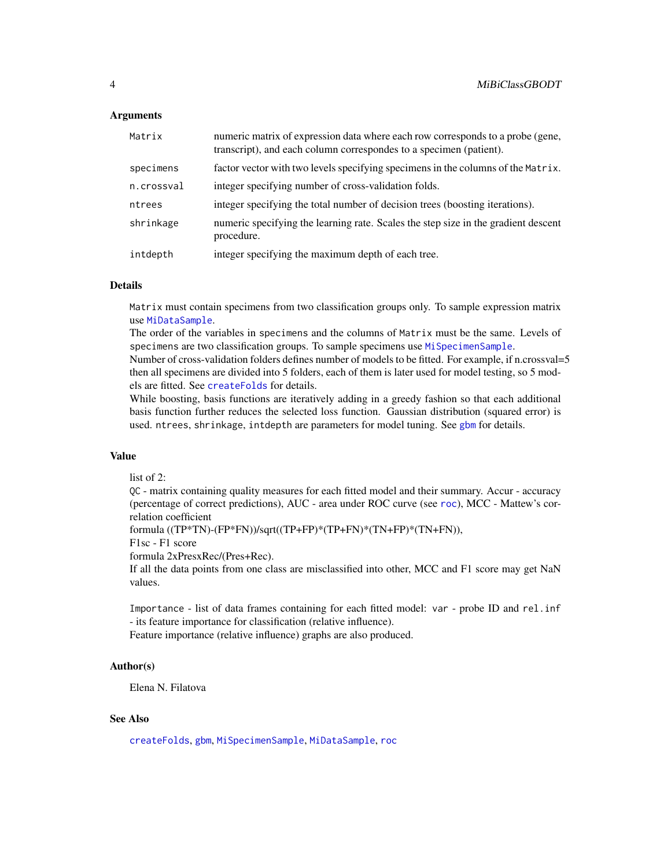# <span id="page-3-0"></span>**Arguments**

| Matrix     | numeric matrix of expression data where each row corresponds to a probe (gene,<br>transcript), and each column correspondes to a specimen (patient). |
|------------|------------------------------------------------------------------------------------------------------------------------------------------------------|
| specimens  | factor vector with two levels specifying specimens in the columns of the Matrix.                                                                     |
| n.crossval | integer specifying number of cross-validation folds.                                                                                                 |
| ntrees     | integer specifying the total number of decision trees (boosting iterations).                                                                         |
| shrinkage  | numeric specifying the learning rate. Scales the step size in the gradient descent<br>procedure.                                                     |
| intdepth   | integer specifying the maximum depth of each tree.                                                                                                   |

# Details

Matrix must contain specimens from two classification groups only. To sample expression matrix use [MiDataSample](#page-4-1).

The order of the variables in specimens and the columns of Matrix must be the same. Levels of specimens are two classification groups. To sample specimens use [MiSpecimenSample](#page-16-1).

Number of cross-validation folders defines number of models to be fitted. For example, if n.crossval=5 then all specimens are divided into 5 folders, each of them is later used for model testing, so 5 models are fitted. See [createFolds](#page-0-0) for details.

While boosting, basis functions are iteratively adding in a greedy fashion so that each additional basis function further reduces the selected loss function. Gaussian distribution (squared error) is used. ntrees, shrinkage, intdepth are parameters for model tuning. See [gbm](#page-0-0) for details.

# Value

list of 2:

QC - matrix containing quality measures for each fitted model and their summary. Accur - accuracy (percentage of correct predictions), AUC - area under ROC curve (see [roc](#page-0-0)), MCC - Mattew's correlation coefficient

formula ((TP\*TN)-(FP\*FN))/sqrt((TP+FP)\*(TP+FN)\*(TN+FP)\*(TN+FN)),

F1sc - F1 score

formula 2xPresxRec/(Pres+Rec).

If all the data points from one class are misclassified into other, MCC and F1 score may get NaN values.

Importance - list of data frames containing for each fitted model: var - probe ID and rel.inf - its feature importance for classification (relative influence).

Feature importance (relative influence) graphs are also produced.

### Author(s)

Elena N. Filatova

# See Also

[createFolds](#page-0-0), [gbm](#page-0-0), [MiSpecimenSample](#page-16-1), [MiDataSample](#page-4-1), [roc](#page-0-0)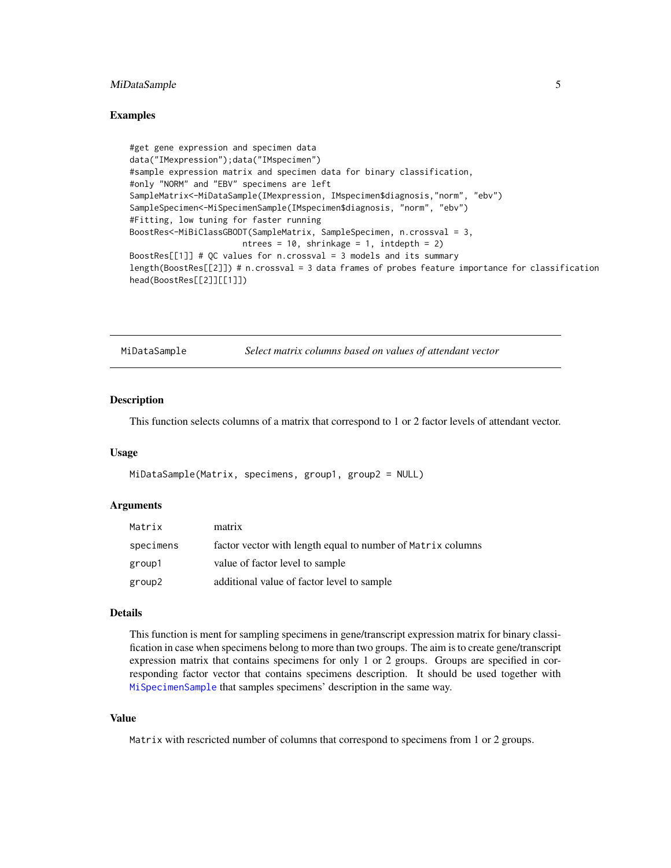# <span id="page-4-0"></span>MiDataSample 5

# Examples

```
#get gene expression and specimen data
data("IMexpression");data("IMspecimen")
#sample expression matrix and specimen data for binary classification,
#only "NORM" and "EBV" specimens are left
SampleMatrix<-MiDataSample(IMexpression, IMspecimen$diagnosis,"norm", "ebv")
SampleSpecimen<-MiSpecimenSample(IMspecimen$diagnosis, "norm", "ebv")
#Fitting, low tuning for faster running
BoostRes<-MiBiClassGBODT(SampleMatrix, SampleSpecimen, n.crossval = 3,
                      ntrees = 10, shrinkage = 1, intdepth = 2)
BoostRes[[1]] # QC values for n.crossval = 3 models and its summary
length(BoostRes[[2]]) # n.crossval = 3 data frames of probes feature importance for classification
head(BoostRes[[2]][[1]])
```
<span id="page-4-1"></span>MiDataSample *Select matrix columns based on values of attendant vector*

# Description

This function selects columns of a matrix that correspond to 1 or 2 factor levels of attendant vector.

#### Usage

```
MiDataSample(Matrix, specimens, group1, group2 = NULL)
```
# Arguments

| Matrix    | matrix                                                      |
|-----------|-------------------------------------------------------------|
| specimens | factor vector with length equal to number of Matrix columns |
| group1    | value of factor level to sample                             |
| group2    | additional value of factor level to sample                  |

#### Details

This function is ment for sampling specimens in gene/transcript expression matrix for binary classification in case when specimens belong to more than two groups. The aim is to create gene/transcript expression matrix that contains specimens for only 1 or 2 groups. Groups are specified in corresponding factor vector that contains specimens description. It should be used together with [MiSpecimenSample](#page-16-1) that samples specimens' description in the same way.

# Value

Matrix with rescricted number of columns that correspond to specimens from 1 or 2 groups.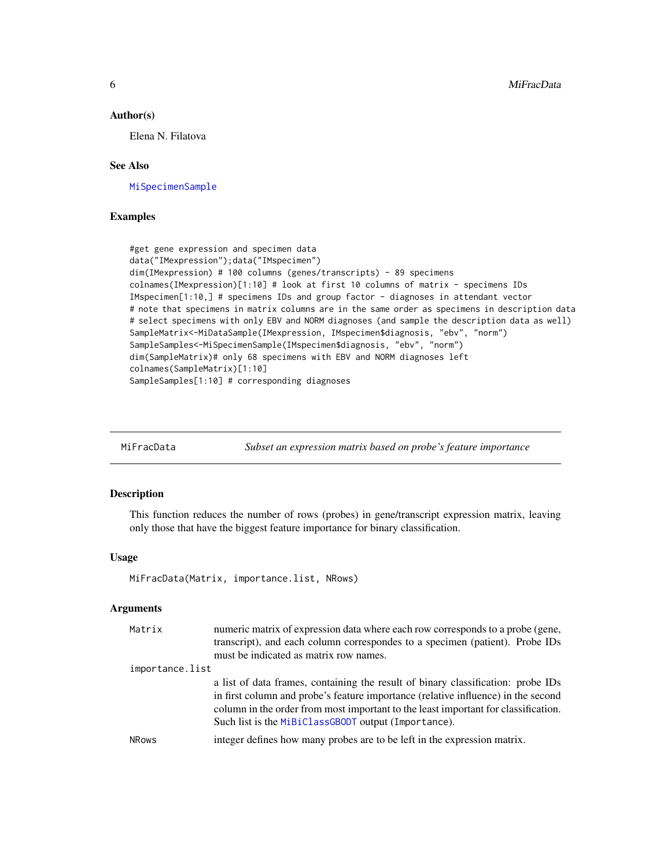#### <span id="page-5-0"></span>Author(s)

Elena N. Filatova

# See Also

[MiSpecimenSample](#page-16-1)

# Examples

```
#get gene expression and specimen data
data("IMexpression");data("IMspecimen")
dim(IMexpression) # 100 columns (genes/transcripts) - 89 specimens
colnames(IMexpression)[1:10] # look at first 10 columns of matrix - specimens IDs
IMspecimen[1:10,] # specimens IDs and group factor - diagnoses in attendant vector
# note that specimens in matrix columns are in the same order as specimens in description data
# select specimens with only EBV and NORM diagnoses (and sample the description data as well)
SampleMatrix<-MiDataSample(IMexpression, IMspecimen$diagnosis, "ebv", "norm")
SampleSamples<-MiSpecimenSample(IMspecimen$diagnosis, "ebv", "norm")
dim(SampleMatrix)# only 68 specimens with EBV and NORM diagnoses left
colnames(SampleMatrix)[1:10]
SampleSamples[1:10] # corresponding diagnoses
```

| MiFracData | Subset an expression matrix based on probe's feature importance |  |  |  |
|------------|-----------------------------------------------------------------|--|--|--|
|            |                                                                 |  |  |  |

# Description

This function reduces the number of rows (probes) in gene/transcript expression matrix, leaving only those that have the biggest feature importance for binary classification.

### Usage

```
MiFracData(Matrix, importance.list, NRows)
```
# Arguments

| Matrix          | numeric matrix of expression data where each row corresponds to a probe (gene,                                                                                                                                                                                                                                      |  |  |  |  |
|-----------------|---------------------------------------------------------------------------------------------------------------------------------------------------------------------------------------------------------------------------------------------------------------------------------------------------------------------|--|--|--|--|
|                 | transcript), and each column correspondes to a specimen (patient). Probe IDs                                                                                                                                                                                                                                        |  |  |  |  |
|                 | must be indicated as matrix row names.                                                                                                                                                                                                                                                                              |  |  |  |  |
| importance.list |                                                                                                                                                                                                                                                                                                                     |  |  |  |  |
|                 | a list of data frames, containing the result of binary classification: probe IDs<br>in first column and probe's feature importance (relative influence) in the second<br>column in the order from most important to the least important for classification.<br>Such list is the MiBiClassGBODT output (Importance). |  |  |  |  |
| <b>NRows</b>    | integer defines how many probes are to be left in the expression matrix.                                                                                                                                                                                                                                            |  |  |  |  |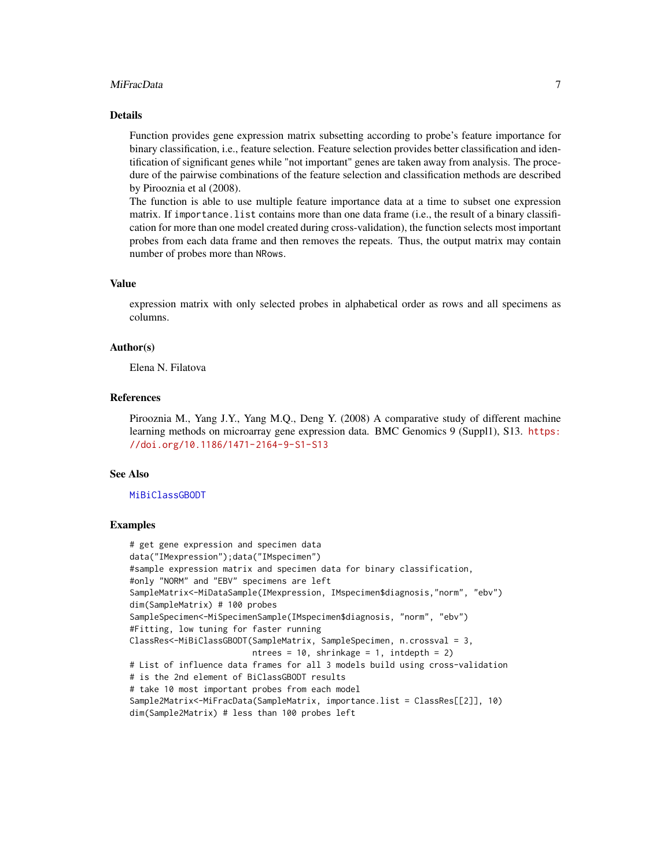#### MiFracData 7

# Details

Function provides gene expression matrix subsetting according to probe's feature importance for binary classification, i.e., feature selection. Feature selection provides better classification and identification of significant genes while "not important" genes are taken away from analysis. The procedure of the pairwise combinations of the feature selection and classification methods are described by Pirooznia et al (2008).

The function is able to use multiple feature importance data at a time to subset one expression matrix. If importance.list contains more than one data frame (i.e., the result of a binary classification for more than one model created during cross-validation), the function selects most important probes from each data frame and then removes the repeats. Thus, the output matrix may contain number of probes more than NRows.

# Value

expression matrix with only selected probes in alphabetical order as rows and all specimens as columns.

### Author(s)

Elena N. Filatova

# References

Pirooznia M., Yang J.Y., Yang M.Q., Deng Y. (2008) A comparative study of different machine learning methods on microarray gene expression data. BMC Genomics 9 (Suppl1), S13. [https:](https://doi.org/10.1186/1471-2164-9-S1-S13) [//doi.org/10.1186/1471-2164-9-S1-S13](https://doi.org/10.1186/1471-2164-9-S1-S13)

#### See Also

#### [MiBiClassGBODT](#page-2-1)

```
# get gene expression and specimen data
data("IMexpression");data("IMspecimen")
#sample expression matrix and specimen data for binary classification,
#only "NORM" and "EBV" specimens are left
SampleMatrix<-MiDataSample(IMexpression, IMspecimen$diagnosis,"norm", "ebv")
dim(SampleMatrix) # 100 probes
SampleSpecimen<-MiSpecimenSample(IMspecimen$diagnosis, "norm", "ebv")
#Fitting, low tuning for faster running
ClassRes<-MiBiClassGBODT(SampleMatrix, SampleSpecimen, n.crossval = 3,
                         ntrees = 10, shrinkage = 1, intdepth = 2)
# List of influence data frames for all 3 models build using cross-validation
# is the 2nd element of BiClassGBODT results
# take 10 most important probes from each model
Sample2Matrix<-MiFracData(SampleMatrix, importance.list = ClassRes[[2]], 10)
dim(Sample2Matrix) # less than 100 probes left
```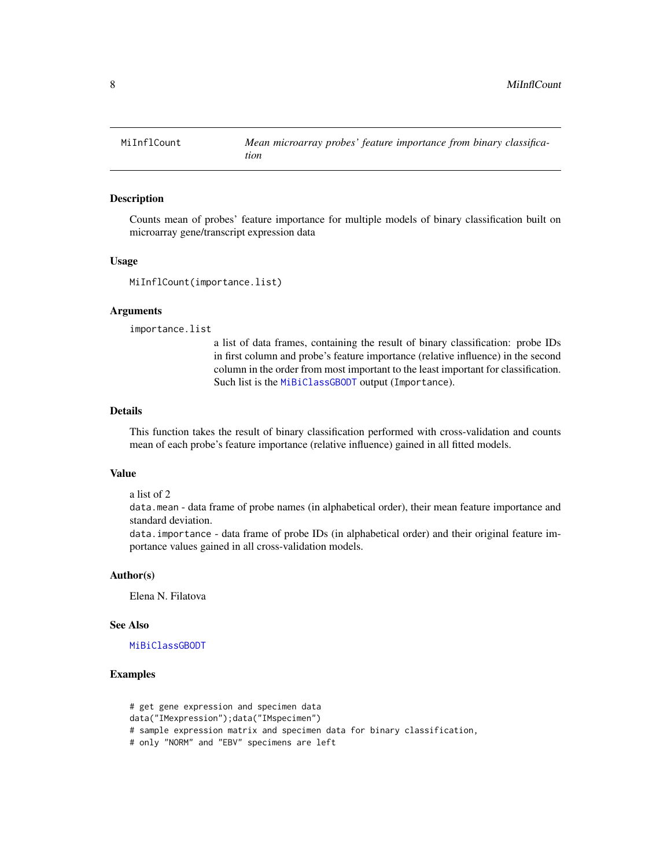<span id="page-7-0"></span>

# **Description**

Counts mean of probes' feature importance for multiple models of binary classification built on microarray gene/transcript expression data

#### Usage

```
MiInflCount(importance.list)
```
# Arguments

importance.list

a list of data frames, containing the result of binary classification: probe IDs in first column and probe's feature importance (relative influence) in the second column in the order from most important to the least important for classification. Such list is the [MiBiClassGBODT](#page-2-1) output (Importance).

# Details

This function takes the result of binary classification performed with cross-validation and counts mean of each probe's feature importance (relative influence) gained in all fitted models.

#### Value

a list of 2

data.mean - data frame of probe names (in alphabetical order), their mean feature importance and standard deviation.

data.importance - data frame of probe IDs (in alphabetical order) and their original feature importance values gained in all cross-validation models.

# Author(s)

Elena N. Filatova

#### See Also

[MiBiClassGBODT](#page-2-1)

```
# get gene expression and specimen data
data("IMexpression");data("IMspecimen")
# sample expression matrix and specimen data for binary classification,
# only "NORM" and "EBV" specimens are left
```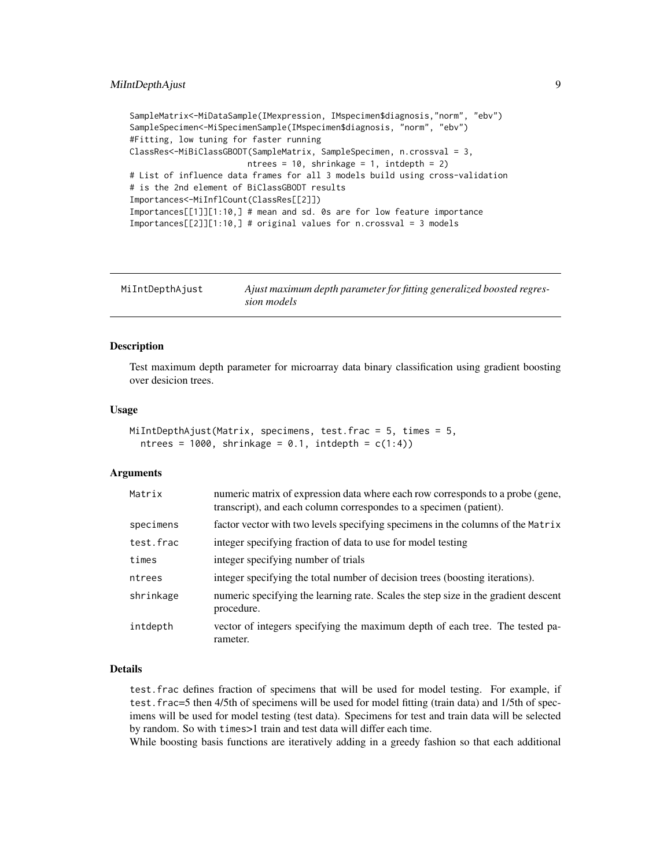```
SampleMatrix<-MiDataSample(IMexpression, IMspecimen$diagnosis,"norm", "ebv")
SampleSpecimen<-MiSpecimenSample(IMspecimen$diagnosis, "norm", "ebv")
#Fitting, low tuning for faster running
ClassRes<-MiBiClassGBODT(SampleMatrix, SampleSpecimen, n.crossval = 3,
                       ntrees = 10, shrinkage = 1, intdepth = 2)
# List of influence data frames for all 3 models build using cross-validation
# is the 2nd element of BiClassGBODT results
Importances<-MiInflCount(ClassRes[[2]])
Importances[[1]][1:10,] # mean and sd. 0s are for low feature importance
Importances[[2]][1:10,] # original values for n.crossval = 3 models
```
<span id="page-8-1"></span>

| MiIntDepthAjust | Ajust maximum depth parameter for fitting generalized boosted regres- |
|-----------------|-----------------------------------------------------------------------|
|                 | sion models                                                           |

#### **Description**

Test maximum depth parameter for microarray data binary classification using gradient boosting over desicion trees.

#### Usage

```
MiIntDepthAjust(Matrix, specimens, test.frac = 5, times = 5,
  ntrees = 1000, shrinkage = 0.1, intdepth = c(1:4))
```
#### Arguments

| Matrix    | numeric matrix of expression data where each row corresponds to a probe (gene,<br>transcript), and each column correspondes to a specimen (patient). |
|-----------|------------------------------------------------------------------------------------------------------------------------------------------------------|
| specimens | factor vector with two levels specifying specimens in the columns of the Matrix                                                                      |
| test.frac | integer specifying fraction of data to use for model testing                                                                                         |
| times     | integer specifying number of trials                                                                                                                  |
| ntrees    | integer specifying the total number of decision trees (boosting iterations).                                                                         |
| shrinkage | numeric specifying the learning rate. Scales the step size in the gradient descent<br>procedure.                                                     |
| intdepth  | vector of integers specifying the maximum depth of each tree. The tested pa-<br>rameter.                                                             |

# Details

test.frac defines fraction of specimens that will be used for model testing. For example, if test.frac=5 then 4/5th of specimens will be used for model fitting (train data) and 1/5th of specimens will be used for model testing (test data). Specimens for test and train data will be selected by random. So with times>1 train and test data will differ each time.

While boosting basis functions are iteratively adding in a greedy fashion so that each additional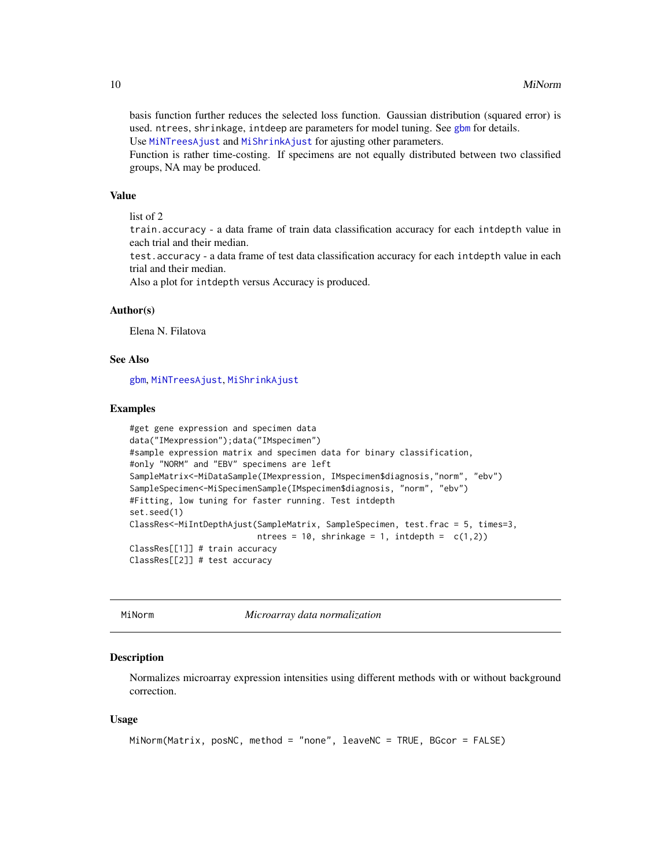basis function further reduces the selected loss function. Gaussian distribution (squared error) is used. ntrees, shrinkage, intdeep are parameters for model tuning. See [gbm](#page-0-0) for details. Use [MiNTreesAjust](#page-11-1) and [MiShrinkAjust](#page-14-1) for ajusting other parameters.

Function is rather time-costing. If specimens are not equally distributed between two classified groups, NA may be produced.

#### Value

list of 2

train.accuracy - a data frame of train data classification accuracy for each intdepth value in each trial and their median.

test.accuracy - a data frame of test data classification accuracy for each intdepth value in each trial and their median.

Also a plot for intdepth versus Accuracy is produced.

# Author(s)

Elena N. Filatova

# See Also

[gbm](#page-0-0), [MiNTreesAjust](#page-11-1), [MiShrinkAjust](#page-14-1)

#### Examples

```
#get gene expression and specimen data
data("IMexpression");data("IMspecimen")
#sample expression matrix and specimen data for binary classification,
#only "NORM" and "EBV" specimens are left
SampleMatrix<-MiDataSample(IMexpression, IMspecimen$diagnosis,"norm", "ebv")
SampleSpecimen<-MiSpecimenSample(IMspecimen$diagnosis, "norm", "ebv")
#Fitting, low tuning for faster running. Test intdepth
set.seed(1)
ClassRes<-MiIntDepthAjust(SampleMatrix, SampleSpecimen, test.frac = 5, times=3,
                          ntrees = 10, shrinkage = 1, intdepth = c(1,2))
ClassRes[[1]] # train accuracy
ClassRes[[2]] # test accuracy
```
MiNorm *Microarray data normalization*

# Description

Normalizes microarray expression intensities using different methods with or without background correction.

#### Usage

```
MiNorm(Matrix, posNC, method = "none", leaveNC = TRUE, BGcor = FALSE)
```
<span id="page-9-0"></span>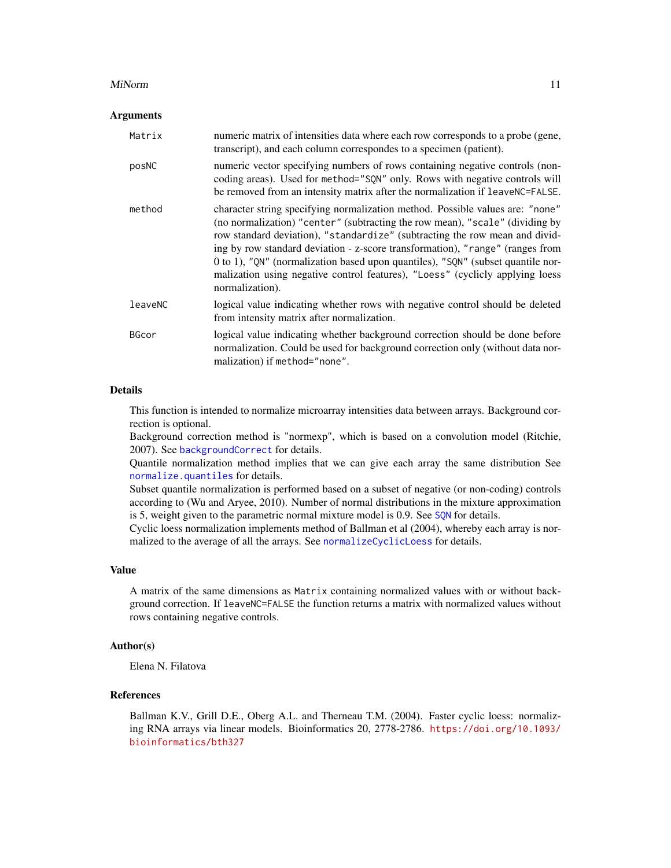#### <span id="page-10-0"></span>MiNorm 2012 **Minimum** 11

#### **Arguments**

| Matrix       | numeric matrix of intensities data where each row corresponds to a probe (gene,<br>transcript), and each column correspondes to a specimen (patient).                                                                                                                                                                                                                                                                                                                                                                |
|--------------|----------------------------------------------------------------------------------------------------------------------------------------------------------------------------------------------------------------------------------------------------------------------------------------------------------------------------------------------------------------------------------------------------------------------------------------------------------------------------------------------------------------------|
| posNC        | numeric vector specifying numbers of rows containing negative controls (non-<br>coding areas). Used for method="SQN" only. Rows with negative controls will<br>be removed from an intensity matrix after the normalization if leaveNC=FALSE.                                                                                                                                                                                                                                                                         |
| method       | character string specifying normalization method. Possible values are: "none"<br>(no normalization) "center" (subtracting the row mean), "scale" (dividing by<br>row standard deviation), "standardize" (subtracting the row mean and divid-<br>ing by row standard deviation - z-score transformation), "range" (ranges from<br>0 to 1), "QN" (normalization based upon quantiles), "SQN" (subset quantile nor-<br>malization using negative control features), "Loess" (cyclicly applying loess<br>normalization). |
| leaveNC      | logical value indicating whether rows with negative control should be deleted<br>from intensity matrix after normalization.                                                                                                                                                                                                                                                                                                                                                                                          |
| <b>BGcor</b> | logical value indicating whether background correction should be done before<br>normalization. Could be used for background correction only (without data nor-<br>malization) if method="none".                                                                                                                                                                                                                                                                                                                      |

#### Details

This function is intended to normalize microarray intensities data between arrays. Background correction is optional.

Background correction method is "normexp", which is based on a convolution model (Ritchie, 2007). See [backgroundCorrect](#page-0-0) for details.

Quantile normalization method implies that we can give each array the same distribution See [normalize.quantiles](#page-0-0) for details.

Subset quantile normalization is performed based on a subset of negative (or non-coding) controls according to (Wu and Aryee, 2010). Number of normal distributions in the mixture approximation is 5, weight given to the parametric normal mixture model is 0.9. See SON for details.

Cyclic loess normalization implements method of Ballman et al (2004), whereby each array is normalized to the average of all the arrays. See [normalizeCyclicLoess](#page-0-0) for details.

#### Value

A matrix of the same dimensions as Matrix containing normalized values with or without background correction. If leaveNC=FALSE the function returns a matrix with normalized values without rows containing negative controls.

# Author(s)

Elena N. Filatova

# References

Ballman K.V., Grill D.E., Oberg A.L. and Therneau T.M. (2004). Faster cyclic loess: normalizing RNA arrays via linear models. Bioinformatics 20, 2778-2786. [https://doi.org/10.1093/](https://doi.org/10.1093/bioinformatics/bth327) [bioinformatics/bth327](https://doi.org/10.1093/bioinformatics/bth327)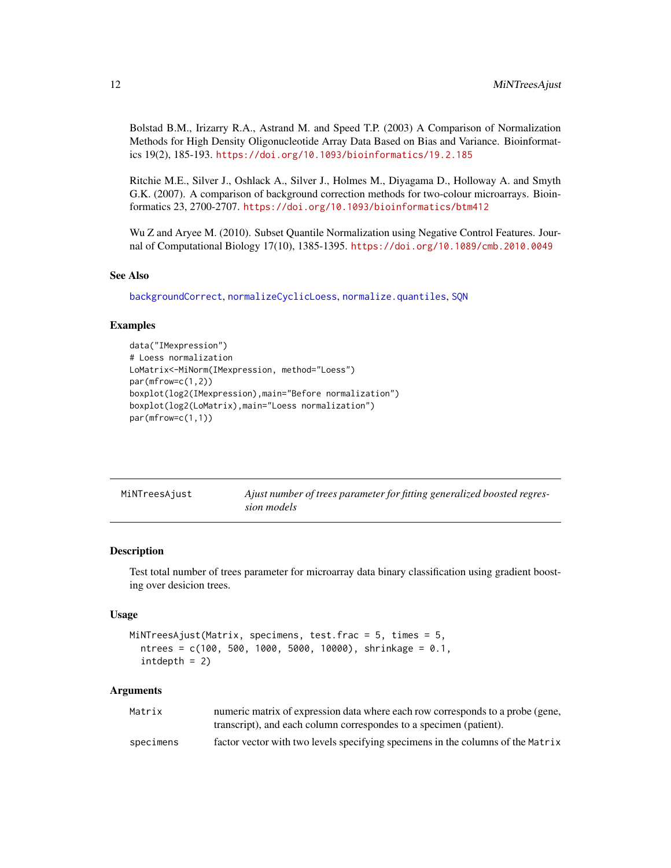<span id="page-11-0"></span>Bolstad B.M., Irizarry R.A., Astrand M. and Speed T.P. (2003) A Comparison of Normalization Methods for High Density Oligonucleotide Array Data Based on Bias and Variance. Bioinformatics 19(2), 185-193. <https://doi.org/10.1093/bioinformatics/19.2.185>

Ritchie M.E., Silver J., Oshlack A., Silver J., Holmes M., Diyagama D., Holloway A. and Smyth G.K. (2007). A comparison of background correction methods for two-colour microarrays. Bioinformatics 23, 2700-2707. <https://doi.org/10.1093/bioinformatics/btm412>

Wu Z and Aryee M. (2010). Subset Quantile Normalization using Negative Control Features. Journal of Computational Biology 17(10), 1385-1395. <https://doi.org/10.1089/cmb.2010.0049>

#### See Also

[backgroundCorrect](#page-0-0), [normalizeCyclicLoess](#page-0-0), [normalize.quantiles](#page-0-0), [SQN](#page-0-0)

#### Examples

```
data("IMexpression")
# Loess normalization
LoMatrix<-MiNorm(IMexpression, method="Loess")
par(mfrow=c(1,2))
boxplot(log2(IMexpression),main="Before normalization")
boxplot(log2(LoMatrix),main="Loess normalization")
par(mfrow=c(1,1))
```
<span id="page-11-1"></span>

| MiNTreesAjust | Ajust number of trees parameter for fitting generalized boosted regres- |
|---------------|-------------------------------------------------------------------------|
|               | sion models                                                             |

#### Description

Test total number of trees parameter for microarray data binary classification using gradient boosting over desicion trees.

#### Usage

```
MiNTreesAjust(Matrix, specimens, test.frac = 5, times = 5,
  ntrees = c(100, 500, 1000, 5000, 10000), shrinkage = 0.1,
  intdepth = 2
```
#### Arguments

| Matrix    | numeric matrix of expression data where each row corresponds to a probe (gene,  |
|-----------|---------------------------------------------------------------------------------|
|           | transcript), and each column correspondes to a specimen (patient).              |
| specimens | factor vector with two levels specifying specimens in the columns of the Matrix |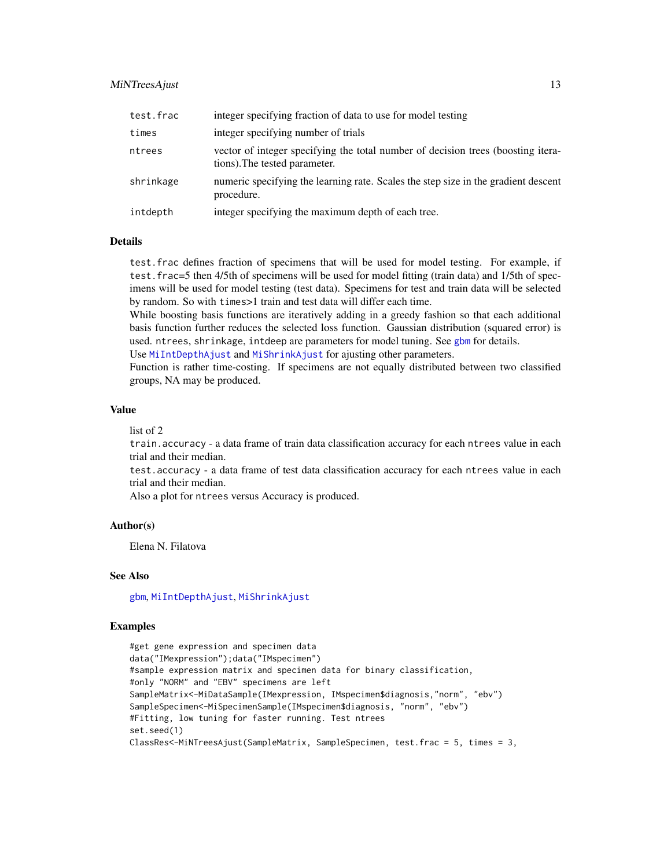# <span id="page-12-0"></span>MiNTreesAjust 13

| test.frac | integer specifying fraction of data to use for model testing                                                      |
|-----------|-------------------------------------------------------------------------------------------------------------------|
| times     | integer specifying number of trials                                                                               |
| ntrees    | vector of integer specifying the total number of decision trees (boosting itera-<br>tions). The tested parameter. |
| shrinkage | numeric specifying the learning rate. Scales the step size in the gradient descent<br>procedure.                  |
| intdepth  | integer specifying the maximum depth of each tree.                                                                |

# **Details**

test.frac defines fraction of specimens that will be used for model testing. For example, if test.frac=5 then 4/5th of specimens will be used for model fitting (train data) and 1/5th of specimens will be used for model testing (test data). Specimens for test and train data will be selected by random. So with times>1 train and test data will differ each time.

While boosting basis functions are iteratively adding in a greedy fashion so that each additional basis function further reduces the selected loss function. Gaussian distribution (squared error) is used. ntrees, shrinkage, intdeep are parameters for model tuning. See [gbm](#page-0-0) for details.

Use [MiIntDepthAjust](#page-8-1) and [MiShrinkAjust](#page-14-1) for ajusting other parameters.

Function is rather time-costing. If specimens are not equally distributed between two classified groups, NA may be produced.

#### Value

list of 2

train.accuracy - a data frame of train data classification accuracy for each ntrees value in each trial and their median.

test.accuracy - a data frame of test data classification accuracy for each ntrees value in each trial and their median.

Also a plot for ntrees versus Accuracy is produced.

#### Author(s)

Elena N. Filatova

# See Also

[gbm](#page-0-0), [MiIntDepthAjust](#page-8-1), [MiShrinkAjust](#page-14-1)

```
#get gene expression and specimen data
data("IMexpression");data("IMspecimen")
#sample expression matrix and specimen data for binary classification,
#only "NORM" and "EBV" specimens are left
SampleMatrix<-MiDataSample(IMexpression, IMspecimen$diagnosis,"norm", "ebv")
SampleSpecimen<-MiSpecimenSample(IMspecimen$diagnosis, "norm", "ebv")
#Fitting, low tuning for faster running. Test ntrees
set.seed(1)
ClassRes<-MiNTreesAjust(SampleMatrix, SampleSpecimen, test.frac = 5, times = 3,
```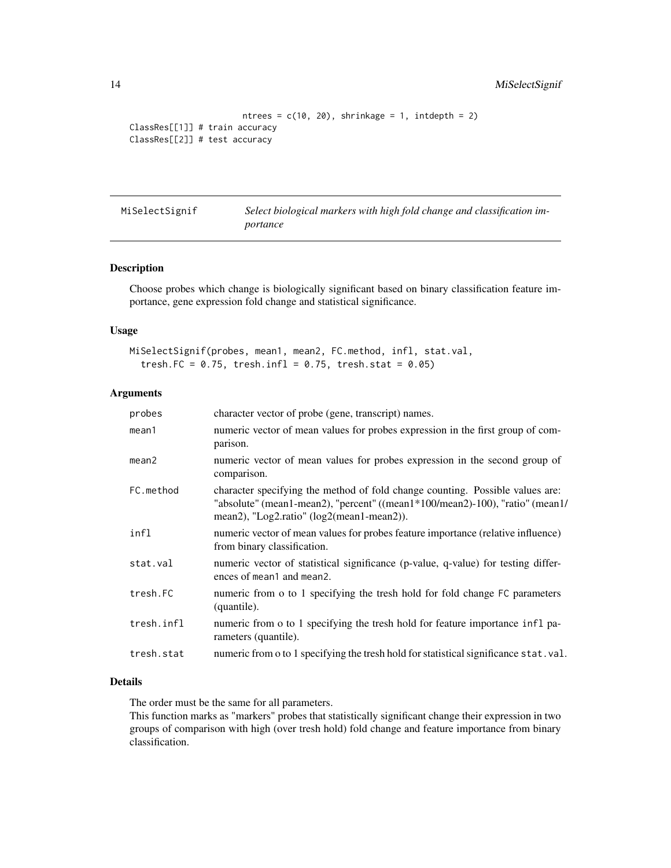```
ntrees = c(10, 20), shrinkage = 1, intdepth = 2)
ClassRes[[1]] # train accuracy
ClassRes[[2]] # test accuracy
```

| MiSelectSignif | Select biological markers with high fold change and classification im- |
|----------------|------------------------------------------------------------------------|
|                | portance                                                               |

# Description

Choose probes which change is biologically significant based on binary classification feature importance, gene expression fold change and statistical significance.

# Usage

```
MiSelectSignif(probes, mean1, mean2, FC.method, infl, stat.val,
  tresh.FC = 0.75, tresh.infl = 0.75, tresh.stat = 0.05)
```
# Arguments

| probes            | character vector of probe (gene, transcript) names.                                                                                                                                                        |
|-------------------|------------------------------------------------------------------------------------------------------------------------------------------------------------------------------------------------------------|
| mean1             | numeric vector of mean values for probes expression in the first group of com-<br>parison.                                                                                                                 |
| mean <sub>2</sub> | numeric vector of mean values for probes expression in the second group of<br>comparison.                                                                                                                  |
| FC.method         | character specifying the method of fold change counting. Possible values are:<br>"absolute" (mean1-mean2), "percent" ((mean1*100/mean2)-100), "ratio" (mean1/<br>mean2), "Log2.ratio" (log2(mean1-mean2)). |
| infl              | numeric vector of mean values for probes feature importance (relative influence)<br>from binary classification.                                                                                            |
| stat.val          | numeric vector of statistical significance (p-value, q-value) for testing differ-<br>ences of mean1 and mean2.                                                                                             |
| tresh.FC          | numeric from o to 1 specifying the tresh hold for fold change FC parameters<br>(quantile).                                                                                                                 |
| tresh.infl        | numeric from o to 1 specifying the tresh hold for feature importance infl pa-<br>rameters (quantile).                                                                                                      |
| tresh.stat        | numeric from o to 1 specifying the tresh hold for statistical significance stat.val.                                                                                                                       |
|                   |                                                                                                                                                                                                            |

# Details

The order must be the same for all parameters.

This function marks as "markers" probes that statistically significant change their expression in two groups of comparison with high (over tresh hold) fold change and feature importance from binary classification.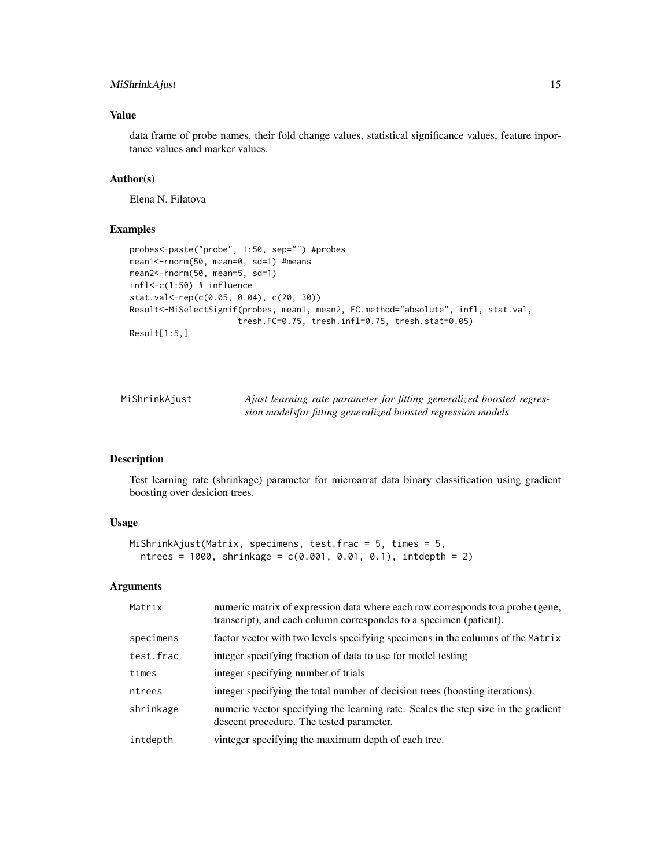# <span id="page-14-0"></span>MiShrinkAjust 15

# Value

data frame of probe names, their fold change values, statistical significance values, feature inportance values and marker values.

# Author(s)

Elena N. Filatova

# Examples

```
probes<-paste("probe", 1:50, sep="") #probes
mean1<-rnorm(50, mean=0, sd=1) #means
mean2 <- rnorm(50, mean=5, sd=1)
infl<-c(1:50) # influence
stat.val<-rep(c(0.05, 0.04), c(20, 30))
Result<-MiSelectSignif(probes, mean1, mean2, FC.method="absolute", infl, stat.val,
                      tresh.FC=0.75, tresh.infl=0.75, tresh.stat=0.05)
Result[1:5,]
```
<span id="page-14-1"></span>

| MiShrinkAjust | Ajust learning rate parameter for fitting generalized boosted regres- |
|---------------|-----------------------------------------------------------------------|
|               | sion modelsfor fitting generalized boosted regression models          |

# Description

Test learning rate (shrinkage) parameter for microarrat data binary classification using gradient boosting over desicion trees.

# Usage

```
MiShrinkAjust(Matrix, specimens, test.frac = 5, times = 5,
 ntrees = 1000, shrinkage = c(0.001, 0.01, 0.1), intdepth = 2)
```
#### Arguments

| Matrix    | numeric matrix of expression data where each row corresponds to a probe (gene,<br>transcript), and each column correspondes to a specimen (patient). |
|-----------|------------------------------------------------------------------------------------------------------------------------------------------------------|
| specimens | factor vector with two levels specifying specimens in the columns of the Matrix                                                                      |
| test.frac | integer specifying fraction of data to use for model testing                                                                                         |
| times     | integer specifying number of trials                                                                                                                  |
| ntrees    | integer specifying the total number of decision trees (boosting iterations).                                                                         |
| shrinkage | numeric vector specifying the learning rate. Scales the step size in the gradient<br>descent procedure. The tested parameter.                        |
| intdepth  | vinteger specifying the maximum depth of each tree.                                                                                                  |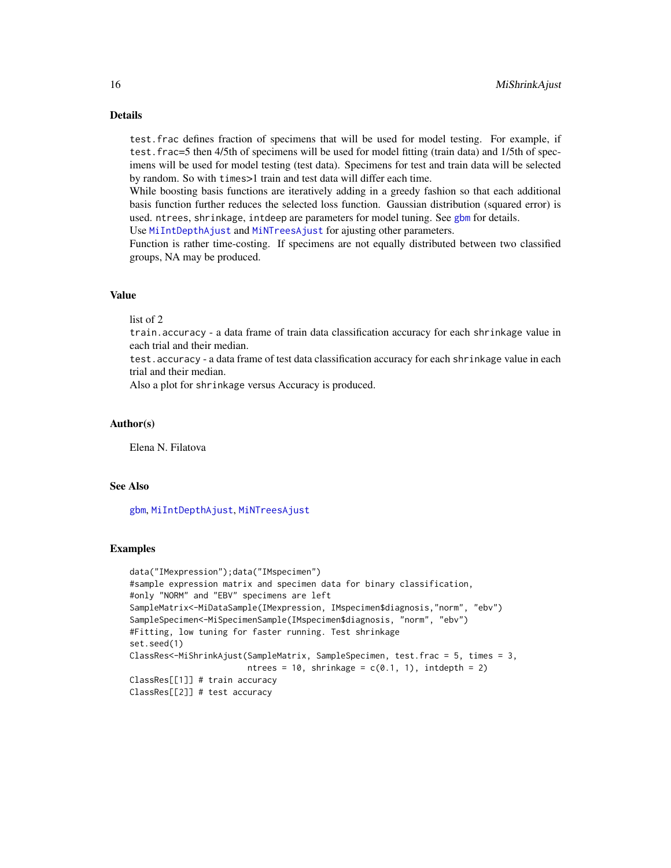# Details

test.frac defines fraction of specimens that will be used for model testing. For example, if test.frac=5 then 4/5th of specimens will be used for model fitting (train data) and 1/5th of specimens will be used for model testing (test data). Specimens for test and train data will be selected by random. So with times>1 train and test data will differ each time.

While boosting basis functions are iteratively adding in a greedy fashion so that each additional basis function further reduces the selected loss function. Gaussian distribution (squared error) is used. ntrees, shrinkage, intdeep are parameters for model tuning. See [gbm](#page-0-0) for details.

Use [MiIntDepthAjust](#page-8-1) and [MiNTreesAjust](#page-11-1) for ajusting other parameters.

Function is rather time-costing. If specimens are not equally distributed between two classified groups, NA may be produced.

# Value

list of 2

train.accuracy - a data frame of train data classification accuracy for each shrinkage value in each trial and their median.

test.accuracy - a data frame of test data classification accuracy for each shrinkage value in each trial and their median.

Also a plot for shrinkage versus Accuracy is produced.

# Author(s)

Elena N. Filatova

#### See Also

[gbm](#page-0-0), [MiIntDepthAjust](#page-8-1), [MiNTreesAjust](#page-11-1)

```
data("IMexpression");data("IMspecimen")
#sample expression matrix and specimen data for binary classification,
#only "NORM" and "EBV" specimens are left
SampleMatrix<-MiDataSample(IMexpression, IMspecimen$diagnosis,"norm", "ebv")
SampleSpecimen<-MiSpecimenSample(IMspecimen$diagnosis, "norm", "ebv")
#Fitting, low tuning for faster running. Test shrinkage
set.seed(1)
ClassRes<-MiShrinkAjust(SampleMatrix, SampleSpecimen, test.frac = 5, times = 3,
                        ntrees = 10, shrinkage = c(0.1, 1), intdepth = 2)
ClassRes[[1]] # train accuracy
ClassRes[[2]] # test accuracy
```
<span id="page-15-0"></span>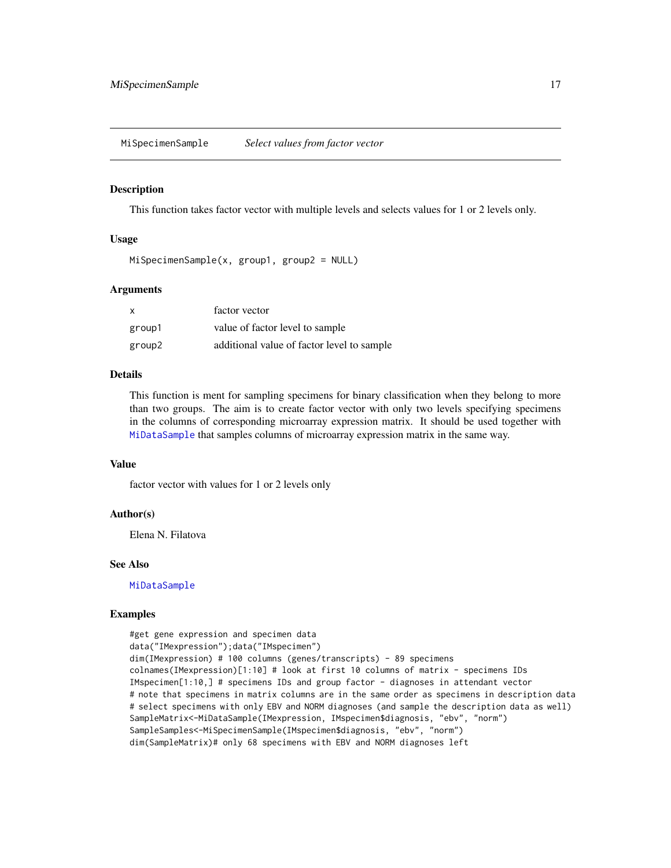<span id="page-16-1"></span><span id="page-16-0"></span>MiSpecimenSample *Select values from factor vector*

#### Description

This function takes factor vector with multiple levels and selects values for 1 or 2 levels only.

# Usage

```
MiSpecimenSample(x, group1, group2 = NULL)
```
#### Arguments

| $\mathsf{x}$ | factor vector                              |
|--------------|--------------------------------------------|
| group1       | value of factor level to sample            |
| group2       | additional value of factor level to sample |

# Details

This function is ment for sampling specimens for binary classification when they belong to more than two groups. The aim is to create factor vector with only two levels specifying specimens in the columns of corresponding microarray expression matrix. It should be used together with [MiDataSample](#page-4-1) that samples columns of microarray expression matrix in the same way.

# Value

factor vector with values for 1 or 2 levels only

#### Author(s)

Elena N. Filatova

#### See Also

[MiDataSample](#page-4-1)

```
#get gene expression and specimen data
data("IMexpression");data("IMspecimen")
dim(IMexpression) # 100 columns (genes/transcripts) - 89 specimens
colnames(IMexpression)[1:10] # look at first 10 columns of matrix - specimens IDs
IMspecimen[1:10,] # specimens IDs and group factor - diagnoses in attendant vector
# note that specimens in matrix columns are in the same order as specimens in description data
# select specimens with only EBV and NORM diagnoses (and sample the description data as well)
SampleMatrix<-MiDataSample(IMexpression, IMspecimen$diagnosis, "ebv", "norm")
SampleSamples<-MiSpecimenSample(IMspecimen$diagnosis, "ebv", "norm")
dim(SampleMatrix)# only 68 specimens with EBV and NORM diagnoses left
```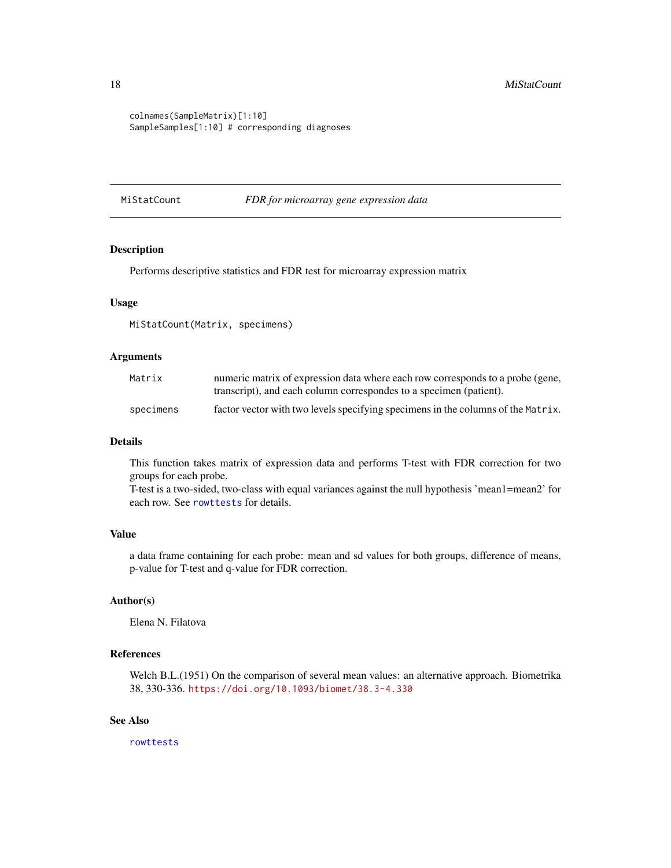```
colnames(SampleMatrix)[1:10]
SampleSamples[1:10] # corresponding diagnoses
```
MiStatCount *FDR for microarray gene expression data*

# Description

Performs descriptive statistics and FDR test for microarray expression matrix

# Usage

MiStatCount(Matrix, specimens)

# Arguments

| Matrix    | numeric matrix of expression data where each row corresponds to a probe (gene,   |
|-----------|----------------------------------------------------------------------------------|
|           | transcript), and each column correspondes to a specimen (patient).               |
| specimens | factor vector with two levels specifying specimens in the columns of the Matrix. |

# Details

This function takes matrix of expression data and performs T-test with FDR correction for two groups for each probe.

T-test is a two-sided, two-class with equal variances against the null hypothesis 'mean1=mean2' for each row. See [rowttests](#page-0-0) for details.

# Value

a data frame containing for each probe: mean and sd values for both groups, difference of means, p-value for T-test and q-value for FDR correction.

# Author(s)

Elena N. Filatova

# References

Welch B.L.(1951) On the comparison of several mean values: an alternative approach. Biometrika 38, 330-336. <https://doi.org/10.1093/biomet/38.3-4.330>

# See Also

[rowttests](#page-0-0)

<span id="page-17-0"></span>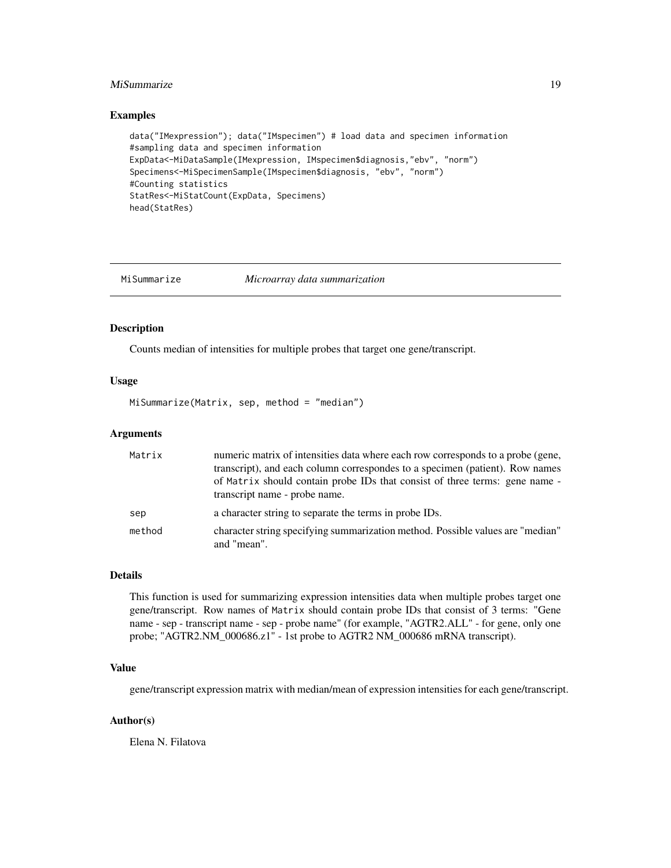# <span id="page-18-0"></span>MiSummarize 19

#### Examples

```
data("IMexpression"); data("IMspecimen") # load data and specimen information
#sampling data and specimen information
ExpData<-MiDataSample(IMexpression, IMspecimen$diagnosis,"ebv", "norm")
Specimens<-MiSpecimenSample(IMspecimen$diagnosis, "ebv", "norm")
#Counting statistics
StatRes<-MiStatCount(ExpData, Specimens)
head(StatRes)
```
MiSummarize *Microarray data summarization*

#### Description

Counts median of intensities for multiple probes that target one gene/transcript.

### Usage

MiSummarize(Matrix, sep, method = "median")

#### Arguments

| Matrix | numeric matrix of intensities data where each row corresponds to a probe (gene,<br>transcript), and each column correspondes to a specimen (patient). Row names<br>of Matrix should contain probe IDs that consist of three terms: gene name -<br>transcript name - probe name. |
|--------|---------------------------------------------------------------------------------------------------------------------------------------------------------------------------------------------------------------------------------------------------------------------------------|
| sep    | a character string to separate the terms in probe IDs.                                                                                                                                                                                                                          |
| method | character string specifying summarization method. Possible values are "median"<br>and "mean".                                                                                                                                                                                   |

#### Details

This function is used for summarizing expression intensities data when multiple probes target one gene/transcript. Row names of Matrix should contain probe IDs that consist of 3 terms: "Gene name - sep - transcript name - sep - probe name" (for example, "AGTR2.ALL" - for gene, only one probe; "AGTR2.NM\_000686.z1" - 1st probe to AGTR2 NM\_000686 mRNA transcript).

# Value

gene/transcript expression matrix with median/mean of expression intensities for each gene/transcript.

### Author(s)

Elena N. Filatova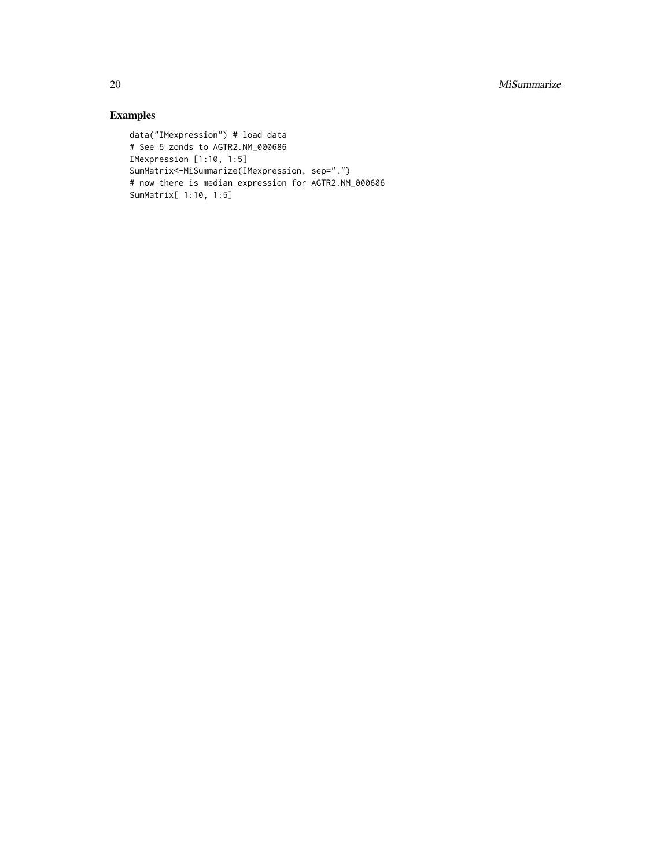20 MiSummarize

```
data("IMexpression") # load data
# See 5 zonds to AGTR2.NM_000686
IMexpression [1:10, 1:5]
SumMatrix<-MiSummarize(IMexpression, sep=".")
# now there is median expression for AGTR2.NM_000686
SumMatrix[ 1:10, 1:5]
```